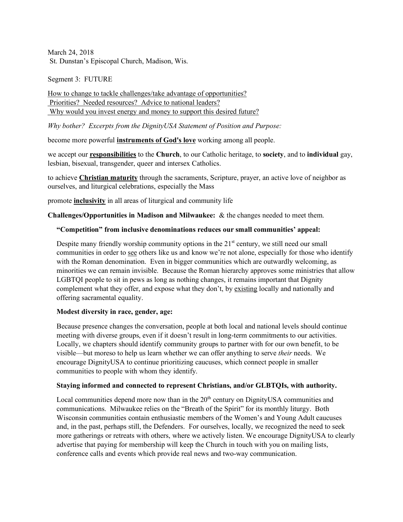March 24, 2018 St. Dunstan's Episcopal Church, Madison, Wis.

Segment 3: FUTURE

How to change to tackle challenges/take advantage of opportunities? Priorities? Needed resources? Advice to national leaders? Why would you invest energy and money to support this desired future?

*Why bother? Excerpts from the DignityUSA Statement of Position and Purpose:*

become more powerful **instruments of God's love** working among all people.

we accept our **responsibilities** to the **Church**, to our Catholic heritage, to **society**, and to **individual** gay, lesbian, bisexual, transgender, queer and intersex Catholics.

to achieve **Christian maturity** through the sacraments, Scripture, prayer, an active love of neighbor as ourselves, and liturgical celebrations, especially the Mass

promote **inclusivity** in all areas of liturgical and community life

**Challenges/Opportunities in Madison and Milwaukee:** & the changes needed to meet them.

# **"Competition" from inclusive denominations reduces our small communities' appeal:**

Despite many friendly worship community options in the  $21<sup>st</sup>$  century, we still need our small communities in order to see others like us and know we're not alone, especially for those who identify with the Roman denomination. Even in bigger communities which are outwardly welcoming, as minorities we can remain invisible. Because the Roman hierarchy approves some ministries that allow LGBTQI people to sit in pews as long as nothing changes, it remains important that Dignity complement what they offer, and expose what they don't, by existing locally and nationally and offering sacramental equality.

### **Modest diversity in race, gender, age:**

Because presence changes the conversation, people at both local and national levels should continue meeting with diverse groups, even if it doesn't result in long-term commitments to our activities. Locally, we chapters should identify community groups to partner with for our own benefit, to be visible—but moreso to help us learn whether we can offer anything to serve *their* needs. We encourage DignityUSA to continue prioritizing caucuses, which connect people in smaller communities to people with whom they identify.

### **Staying informed and connected to represent Christians, and/or GLBTQIs, with authority.**

Local communities depend more now than in the  $20<sup>th</sup>$  century on DignityUSA communities and communications. Milwaukee relies on the "Breath of the Spirit" for its monthly liturgy. Both Wisconsin communities contain enthusiastic members of the Women's and Young Adult caucuses and, in the past, perhaps still, the Defenders. For ourselves, locally, we recognized the need to seek more gatherings or retreats with others, where we actively listen. We encourage DignityUSA to clearly advertise that paying for membership will keep the Church in touch with you on mailing lists, conference calls and events which provide real news and two-way communication.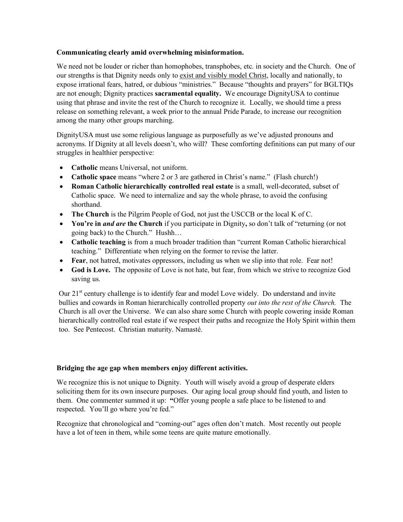# **Communicating clearly amid overwhelming misinformation.**

We need not be louder or richer than homophobes, transphobes, etc. in society and the Church. One of our strengths is that Dignity needs only to exist and visibly model Christ, locally and nationally, to expose irrational fears, hatred, or dubious "ministries." Because "thoughts and prayers" for BGLTIQs are not enough; Dignity practices **sacramental equality.** We encourage DignityUSA to continue using that phrase and invite the rest of the Church to recognize it. Locally, we should time a press release on something relevant, a week prior to the annual Pride Parade, to increase our recognition among the many other groups marching.

DignityUSA must use some religious language as purposefully as we've adjusted pronouns and acronyms. If Dignity at all levels doesn't, who will? These comforting definitions can put many of our struggles in healthier perspective:

- **Catholic** means Universal, not uniform.
- **Catholic space** means "where 2 or 3 are gathered in Christ's name." (Flash church!)
- **Roman Catholic hierarchically controlled real estate** is a small, well-decorated, subset of Catholic space. We need to internalize and say the whole phrase, to avoid the confusing shorthand.
- **The Church** is the Pilgrim People of God, not just the USCCB or the local K of C.
- **You're in** *and are* **the Church** if you participate in Dignity**,** so don't talk of "returning (or not going back) to the Church." Hushh…
- **Catholic teaching** is from a much broader tradition than "current Roman Catholic hierarchical teaching." Differentiate when relying on the former to revise the latter.
- **Fear**, not hatred, motivates oppressors, including us when we slip into that role. Fear not!
- **God is Love.** The opposite of Love is not hate, but fear, from which we strive to recognize God saving us.

Our 21<sup>st</sup> century challenge is to identify fear and model Love widely. Do understand and invite bullies and cowards in Roman hierarchically controlled property *out into the rest of the Church.* The Church is all over the Universe. We can also share some Church with people cowering inside Roman hierarchically controlled real estate if we respect their paths and recognize the Holy Spirit within them too. See Pentecost. Christian maturity. Namasté.

# **Bridging the age gap when members enjoy different activities.**

We recognize this is not unique to Dignity. Youth will wisely avoid a group of desperate elders soliciting them for its own insecure purposes. Our aging local group should find youth, and listen to them.One commenter summed it up: **"**Offer young people a safe place to be listened to and respected. You'll go where you're fed."

Recognize that chronological and "coming-out" ages often don't match. Most recently out people have a lot of teen in them, while some teens are quite mature emotionally.